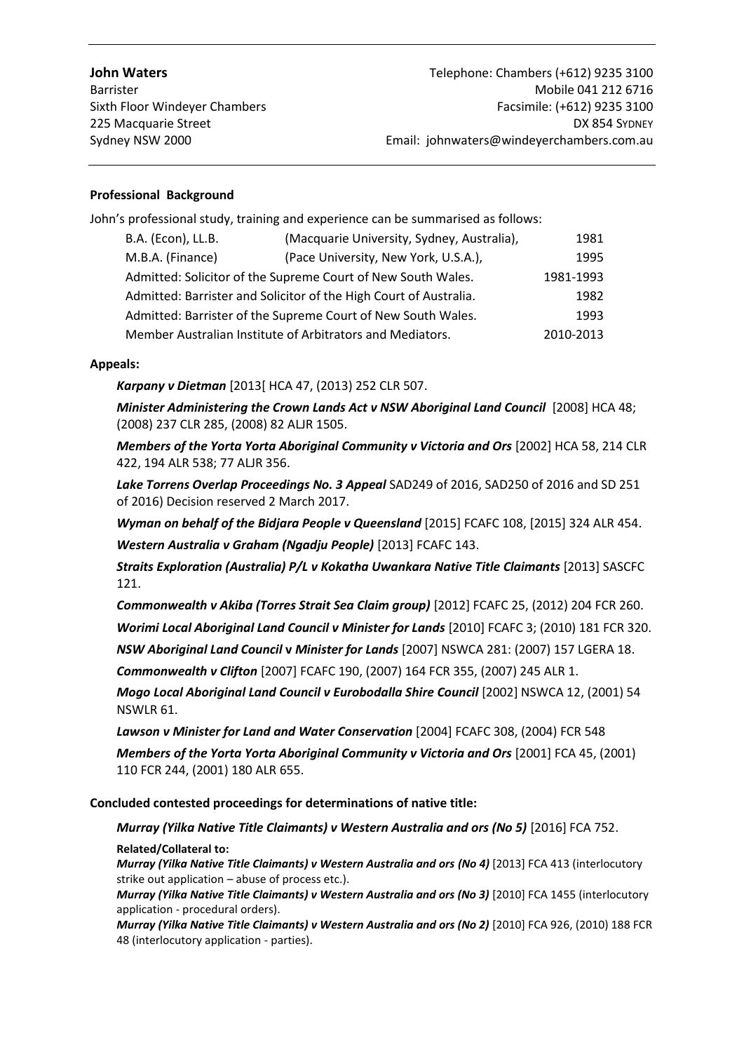### **Professional Background**

John's professional study, training and experience can be summarised as follows:

| B.A. (Econ), LL.B.                                                | (Macquarie University, Sydney, Australia), | 1981      |
|-------------------------------------------------------------------|--------------------------------------------|-----------|
| M.B.A. (Finance)                                                  | (Pace University, New York, U.S.A.),       | 1995      |
| Admitted: Solicitor of the Supreme Court of New South Wales.      |                                            | 1981-1993 |
| Admitted: Barrister and Solicitor of the High Court of Australia. |                                            | 1982      |
| Admitted: Barrister of the Supreme Court of New South Wales.      |                                            | 1993      |
| Member Australian Institute of Arbitrators and Mediators.         |                                            | 2010-2013 |

### **Appeals:**

*Karpany v Dietman* [2013[ HCA 47, (2013) 252 CLR 507.

*Minister Administering the Crown Lands Act v NSW Aboriginal Land Council* [2008] HCA 48; (2008) 237 CLR 285, (2008) 82 ALJR 1505.

*Members of the Yorta Yorta Aboriginal Community v Victoria and Ors* [2002] HCA 58, 214 CLR 422, 194 ALR 538; 77 ALJR 356.

Lake Torrens Overlap Proceedings No. 3 Appeal SAD249 of 2016, SAD250 of 2016 and SD 251 of 2016) Decision reserved 2 March 2017.

*Wyman on behalf of the Bidjara People v Queensland* [2015] FCAFC 108, [2015] 324 ALR 454. *Western Australia v Graham (Ngadju People)* [2013] FCAFC 143.

*Straits Exploration (Australia) P/L v Kokatha Uwankara Native Title Claimants* [2013] SASCFC 121.

*Commonwealth v Akiba (Torres Strait Sea Claim group)* [2012] FCAFC 25, (2012) 204 FCR 260. *Worimi Local Aboriginal Land Council v Minister for Lands* [2010] FCAFC 3; (2010) 181 FCR 320.

*NSW Aboriginal Land Council* **v** *Minister for Lands* [2007] NSWCA 281: (2007) 157 LGERA 18. *Commonwealth v Clifton* [2007] FCAFC 190, (2007) 164 FCR 355, (2007) 245 ALR 1.

*Mogo Local Aboriginal Land Council v Eurobodalla Shire Council* [2002] NSWCA 12, (2001) 54 NSWLR 61.

*Lawson v Minister for Land and Water Conservation* [2004] FCAFC 308, (2004) FCR 548 *Members of the Yorta Yorta Aboriginal Community v Victoria and Ors* [2001] FCA 45, (2001) 110 FCR 244, (2001) 180 ALR 655.

**Concluded contested proceedings for determinations of native title:** 

*Murray (Yilka Native Title Claimants) v Western Australia and ors (No 5)* [2016] FCA 752.

**Related/Collateral to:**

*Murray (Yilka Native Title Claimants) v Western Australia and ors (No 4)* [2013] FCA 413 (interlocutory strike out application – abuse of process etc.).

*Murray (Yilka Native Title Claimants) v Western Australia and ors (No 3)* [2010] FCA 1455 (interlocutory application - procedural orders).

*Murray (Yilka Native Title Claimants) v Western Australia and ors (No 2)* [2010] FCA 926, (2010) 188 FCR 48 (interlocutory application - parties).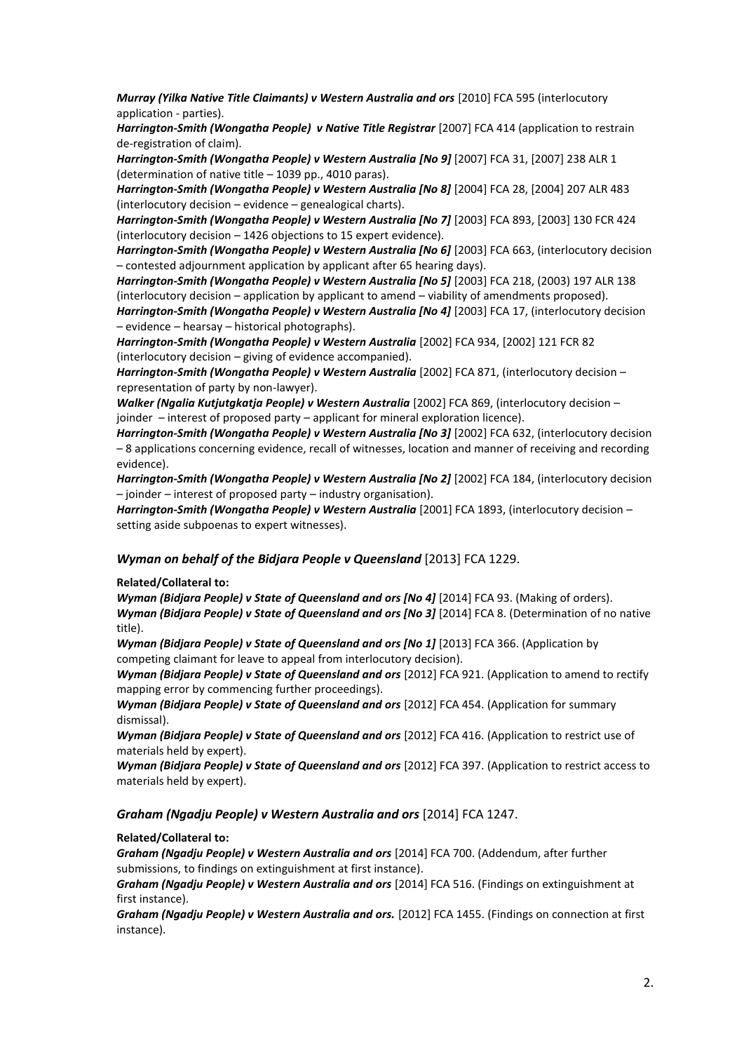*Murray (Yilka Native Title Claimants) v Western Australia and ors* [2010] FCA 595 (interlocutory application - parties).

*Harrington-Smith (Wongatha People) v Native Title Registrar* [2007] FCA 414 (application to restrain de-registration of claim).

*Harrington-Smith (Wongatha People) v Western Australia [No 9]* [2007] FCA 31, [2007] 238 ALR 1 (determination of native title – 1039 pp., 4010 paras).

*Harrington-Smith (Wongatha People) v Western Australia [No 8]* [2004] FCA 28, [2004] 207 ALR 483 (interlocutory decision – evidence – genealogical charts).

*Harrington-Smith (Wongatha People) v Western Australia [No 7]* [2003] FCA 893, [2003] 130 FCR 424 (interlocutory decision – 1426 objections to 15 expert evidence).

*Harrington-Smith (Wongatha People) v Western Australia [No 6]* [2003] FCA 663, (interlocutory decision – contested adjournment application by applicant after 65 hearing days).

*Harrington-Smith (Wongatha People) v Western Australia [No 5]* [2003] FCA 218, (2003) 197 ALR 138 (interlocutory decision – application by applicant to amend – viability of amendments proposed).

*Harrington-Smith (Wongatha People) v Western Australia [No 4]* [2003] FCA 17, (interlocutory decision – evidence – hearsay – historical photographs).

*Harrington-Smith (Wongatha People) v Western Australia* [2002] FCA 934, [2002] 121 FCR 82 (interlocutory decision – giving of evidence accompanied).

*Harrington-Smith (Wongatha People) v Western Australia* [2002] FCA 871, (interlocutory decision – representation of party by non-lawyer).

*Walker (Ngalia Kutjutgkatja People) v Western Australia* [2002] FCA 869, (interlocutory decision – joinder – interest of proposed party – applicant for mineral exploration licence).

*Harrington-Smith (Wongatha People) v Western Australia [No 3]* [2002] FCA 632, (interlocutory decision – 8 applications concerning evidence, recall of witnesses, location and manner of receiving and recording evidence).

*Harrington-Smith (Wongatha People) v Western Australia [No 2]* [2002] FCA 184, (interlocutory decision – joinder – interest of proposed party – industry organisation).

*Harrington-Smith (Wongatha People) v Western Australia* [2001] FCA 1893, (interlocutory decision – setting aside subpoenas to expert witnesses).

#### *Wyman on behalf of the Bidjara People v Queensland* [2013] FCA 1229.

#### **Related/Collateral to:**

*Wyman (Bidjara People) v State of Queensland and ors [No 4]* [2014] FCA 93. (Making of orders). *Wyman (Bidjara People) v State of Queensland and ors [No 3]* [2014] FCA 8. (Determination of no native title).

*Wyman (Bidjara People) v State of Queensland and ors [No 1]* [2013] FCA 366. (Application by competing claimant for leave to appeal from interlocutory decision).

*Wyman (Bidjara People) v State of Queensland and ors* [2012] FCA 921. (Application to amend to rectify mapping error by commencing further proceedings).

*Wyman (Bidjara People) v State of Queensland and ors* [2012] FCA 454. (Application for summary dismissal).

*Wyman (Bidjara People) v State of Queensland and ors* [2012] FCA 416. (Application to restrict use of materials held by expert).

*Wyman (Bidjara People) v State of Queensland and ors* [2012] FCA 397. (Application to restrict access to materials held by expert).

#### *Graham (Ngadju People) v Western Australia and ors* [2014] FCA 1247.

#### **Related/Collateral to:**

*Graham (Ngadju People) v Western Australia and ors* [2014] FCA 700. (Addendum, after further submissions, to findings on extinguishment at first instance).

*Graham (Ngadju People) v Western Australia and ors* [2014] FCA 516. (Findings on extinguishment at first instance).

*Graham (Ngadju People) v Western Australia and ors.* [2012] FCA 1455. (Findings on connection at first instance).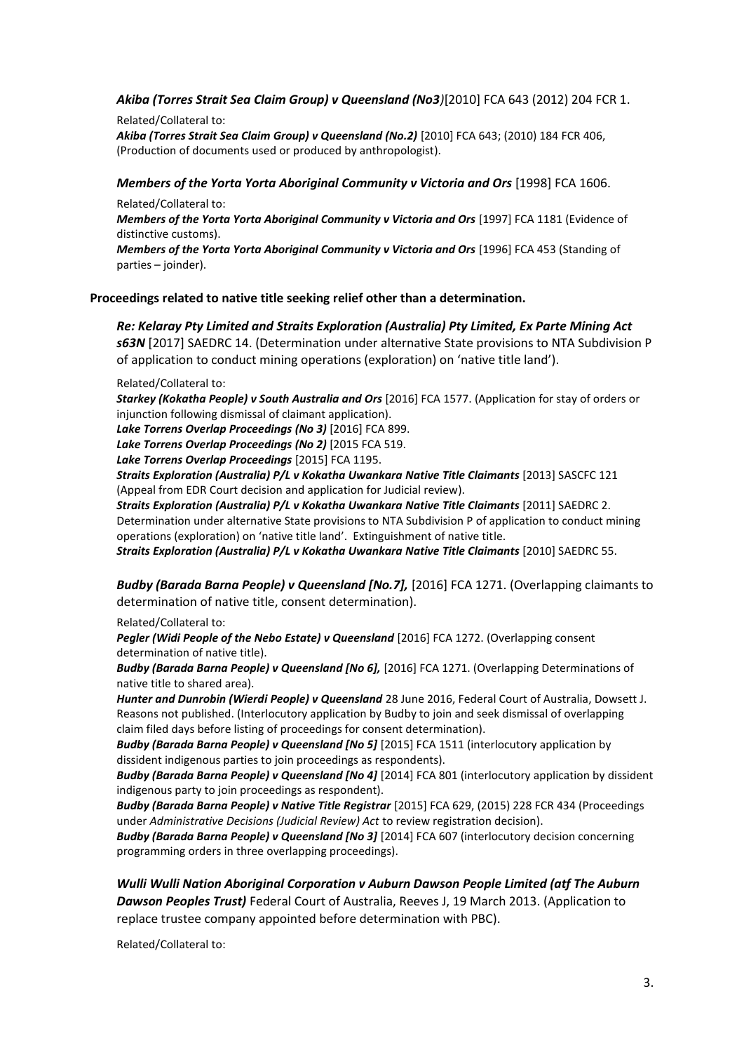### *Akiba (Torres Strait Sea Claim Group) v Queensland (No3)*[2010] FCA 643 (2012) 204 FCR 1.

Related/Collateral to: *Akiba (Torres Strait Sea Claim Group) v Queensland (No.2)* [2010] FCA 643; (2010) 184 FCR 406, (Production of documents used or produced by anthropologist).

### *Members of the Yorta Yorta Aboriginal Community v Victoria and Ors* [1998] FCA 1606.

Related/Collateral to:

*Members of the Yorta Yorta Aboriginal Community v Victoria and Ors* [1997] FCA 1181 (Evidence of distinctive customs).

*Members of the Yorta Yorta Aboriginal Community v Victoria and Ors* [1996] FCA 453 (Standing of parties – joinder).

### **Proceedings related to native title seeking relief other than a determination.**

*Re: Kelaray Pty Limited and Straits Exploration (Australia) Pty Limited, Ex Parte Mining Act s63N* [2017] SAEDRC 14. (Determination under alternative State provisions to NTA Subdivision P of application to conduct mining operations (exploration) on 'native title land').

#### Related/Collateral to:

*Starkey (Kokatha People) v South Australia and Ors* [2016] FCA 1577. (Application for stay of orders or injunction following dismissal of claimant application).

*Lake Torrens Overlap Proceedings (No 3)* [2016] FCA 899.

*Lake Torrens Overlap Proceedings (No 2)* [2015 FCA 519.

*Lake Torrens Overlap Proceedings* [2015] FCA 1195.

*Straits Exploration (Australia) P/L v Kokatha Uwankara Native Title Claimants* [2013] SASCFC 121 (Appeal from EDR Court decision and application for Judicial review).

*Straits Exploration (Australia) P/L v Kokatha Uwankara Native Title Claimants* [2011] SAEDRC 2. Determination under alternative State provisions to NTA Subdivision P of application to conduct mining operations (exploration) on 'native title land'. Extinguishment of native title.

*Straits Exploration (Australia) P/L v Kokatha Uwankara Native Title Claimants* [2010] SAEDRC 55.

*Budby (Barada Barna People) v Queensland [No.7],* [2016] FCA 1271. (Overlapping claimants to determination of native title, consent determination).

Related/Collateral to:

*Pegler (Widi People of the Nebo Estate) v Queensland* [2016] FCA 1272. (Overlapping consent determination of native title).

*Budby (Barada Barna People) v Queensland [No 6],* [2016] FCA 1271. (Overlapping Determinations of native title to shared area).

*Hunter and Dunrobin (Wierdi People) v Queensland* 28 June 2016, Federal Court of Australia, Dowsett J. Reasons not published. (Interlocutory application by Budby to join and seek dismissal of overlapping claim filed days before listing of proceedings for consent determination).

*Budby (Barada Barna People) v Queensland [No 5]* [2015] FCA 1511 (interlocutory application by dissident indigenous parties to join proceedings as respondents).

*Budby (Barada Barna People) v Queensland [No 4]* [2014] FCA 801 (interlocutory application by dissident indigenous party to join proceedings as respondent).

*Budby (Barada Barna People) v Native Title Registrar* [2015] FCA 629, (2015) 228 FCR 434 (Proceedings under *Administrative Decisions (Judicial Review) Act* to review registration decision).

*Budby (Barada Barna People) v Queensland [No 3]* [2014] FCA 607 (interlocutory decision concerning programming orders in three overlapping proceedings).

*Wulli Wulli Nation Aboriginal Corporation v Auburn Dawson People Limited (atf The Auburn Dawson Peoples Trust)* Federal Court of Australia, Reeves J, 19 March 2013. (Application to replace trustee company appointed before determination with PBC).

Related/Collateral to: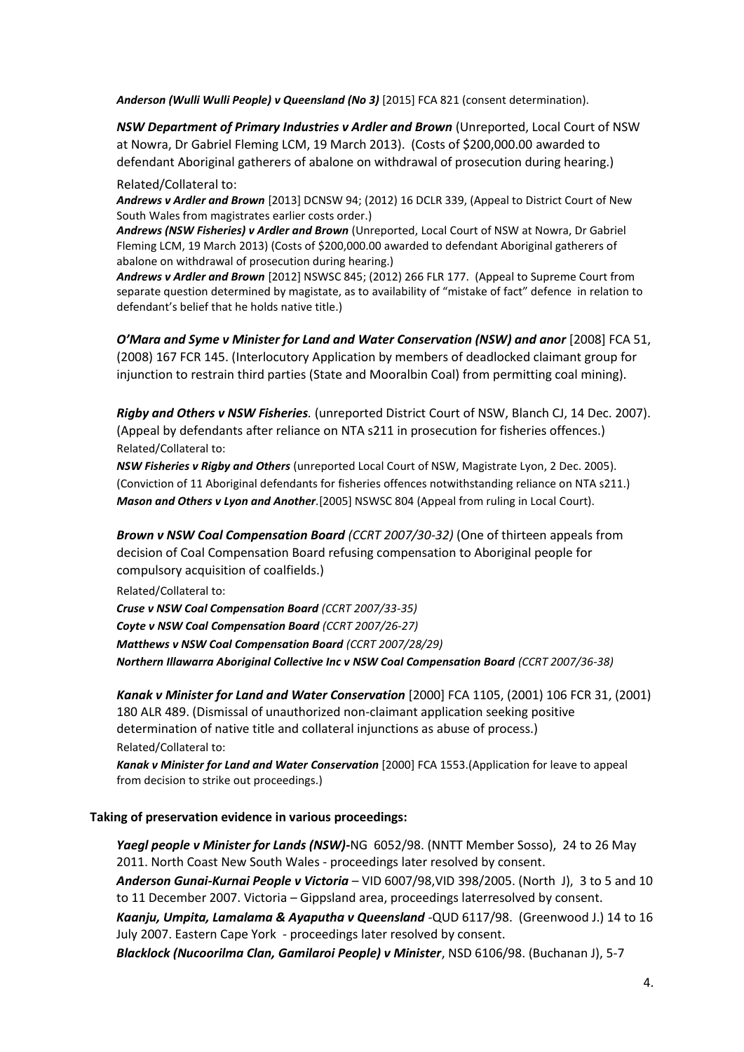*Anderson (Wulli Wulli People) v Queensland (No 3)* [2015] FCA 821 (consent determination).

*NSW Department of Primary Industries v Ardler and Brown* (Unreported, Local Court of NSW at Nowra, Dr Gabriel Fleming LCM, 19 March 2013). (Costs of \$200,000.00 awarded to defendant Aboriginal gatherers of abalone on withdrawal of prosecution during hearing.)

#### Related/Collateral to:

*Andrews v Ardler and Brown* [2013] DCNSW 94; (2012) 16 DCLR 339, (Appeal to District Court of New South Wales from magistrates earlier costs order.)

*Andrews (NSW Fisheries) v Ardler and Brown* (Unreported, Local Court of NSW at Nowra, Dr Gabriel Fleming LCM, 19 March 2013) (Costs of \$200,000.00 awarded to defendant Aboriginal gatherers of abalone on withdrawal of prosecution during hearing.)

*Andrews v Ardler and Brown* [2012] NSWSC 845; (2012) 266 FLR 177. (Appeal to Supreme Court from separate question determined by magistate, as to availability of "mistake of fact" defence in relation to defendant's belief that he holds native title.)

*O'Mara and Syme v Minister for Land and Water Conservation (NSW) and anor* [2008] FCA 51, (2008) 167 FCR 145. (Interlocutory Application by members of deadlocked claimant group for injunction to restrain third parties (State and Mooralbin Coal) from permitting coal mining).

*Rigby and Others v NSW Fisheries.* (unreported District Court of NSW, Blanch CJ, 14 Dec. 2007). (Appeal by defendants after reliance on NTA s211 in prosecution for fisheries offences.) Related/Collateral to:

*NSW Fisheries v Rigby and Others* (unreported Local Court of NSW, Magistrate Lyon, 2 Dec. 2005). (Conviction of 11 Aboriginal defendants for fisheries offences notwithstanding reliance on NTA s211.) *Mason and Others v Lyon and Another.*[2005] NSWSC 804 (Appeal from ruling in Local Court).

*Brown v NSW Coal Compensation Board (CCRT 2007/30-32)* (One of thirteen appeals from decision of Coal Compensation Board refusing compensation to Aboriginal people for compulsory acquisition of coalfields.)

Related/Collateral to:

*Cruse v NSW Coal Compensation Board (CCRT 2007/33-35) Coyte v NSW Coal Compensation Board (CCRT 2007/26-27) Matthews v NSW Coal Compensation Board (CCRT 2007/28/29) Northern Illawarra Aboriginal Collective Inc v NSW Coal Compensation Board (CCRT 2007/36-38)*

*Kanak v Minister for Land and Water Conservation* [2000] FCA 1105, (2001) 106 FCR 31, (2001) 180 ALR 489. (Dismissal of unauthorized non-claimant application seeking positive determination of native title and collateral injunctions as abuse of process.) Related/Collateral to:

*Kanak v Minister for Land and Water Conservation* [2000] FCA 1553.(Application for leave to appeal from decision to strike out proceedings.)

### **Taking of preservation evidence in various proceedings:**

*Yaegl people v Minister for Lands (NSW)-*NG 6052/98. (NNTT Member Sosso), 24 to 26 May 2011. North Coast New South Wales - proceedings later resolved by consent. *Anderson Gunai-Kurnai People v Victoria* – VID 6007/98,VID 398/2005. (North J), 3 to 5 and 10

to 11 December 2007. Victoria – Gippsland area, proceedings laterresolved by consent.

*Kaanju, Umpita, Lamalama & Ayaputha v Queensland -*QUD 6117/98. (Greenwood J.) 14 to 16 July 2007. Eastern Cape York - proceedings later resolved by consent.

*Blacklock (Nucoorilma Clan, Gamilaroi People) v Minister*, NSD 6106/98. (Buchanan J), 5-7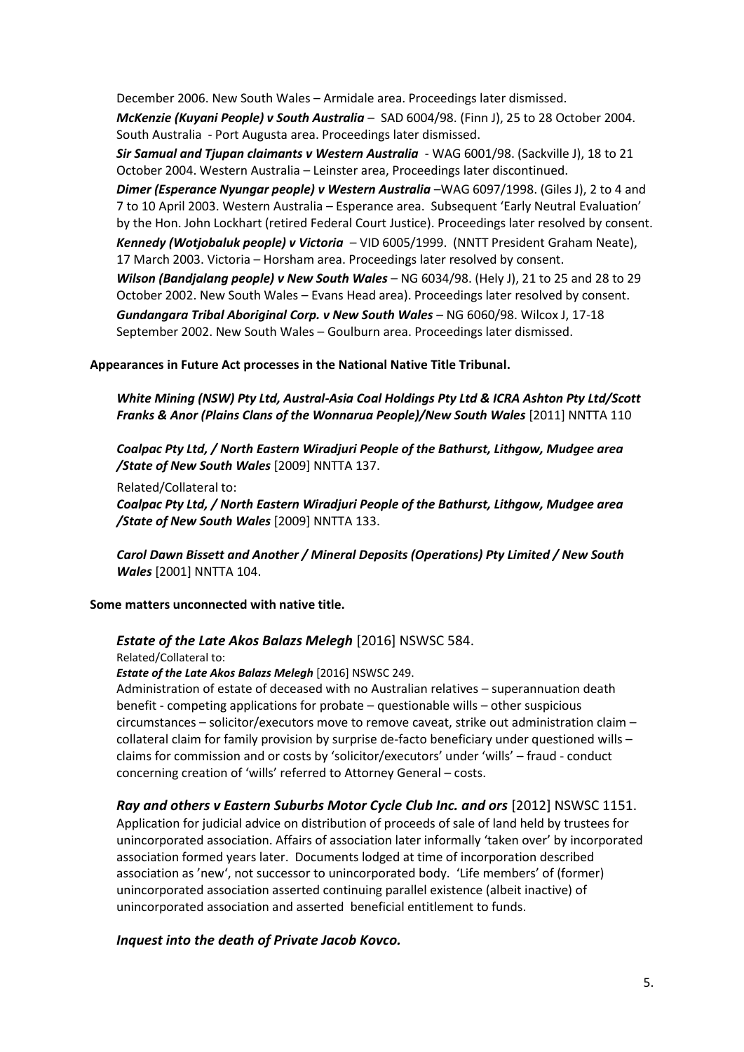December 2006. New South Wales – Armidale area. Proceedings later dismissed. *McKenzie (Kuyani People) v South Australia* – SAD 6004/98. (Finn J), 25 to 28 October 2004. South Australia - Port Augusta area. Proceedings later dismissed.

*Sir Samual and Tjupan claimants v Western Australia* - WAG 6001/98. (Sackville J), 18 to 21 October 2004. Western Australia – Leinster area, Proceedings later discontinued.

*Dimer (Esperance Nyungar people) v Western Australia* –WAG 6097/1998. (Giles J), 2 to 4 and 7 to 10 April 2003. Western Australia – Esperance area. Subsequent 'Early Neutral Evaluation' by the Hon. John Lockhart (retired Federal Court Justice). Proceedings later resolved by consent. *Kennedy (Wotjobaluk people) v Victoria* – VID 6005/1999. (NNTT President Graham Neate),

17 March 2003. Victoria – Horsham area. Proceedings later resolved by consent. *Wilson (Bandjalang people) v New South Wales* – NG 6034/98. (Hely J), 21 to 25 and 28 to 29 October 2002. New South Wales – Evans Head area). Proceedings later resolved by consent. *Gundangara Tribal Aboriginal Corp. v New South Wales* – NG 6060/98. Wilcox J, 17-18 September 2002. New South Wales – Goulburn area. Proceedings later dismissed.

## **Appearances in Future Act processes in the National Native Title Tribunal.**

*White Mining (NSW) Pty Ltd, Austral-Asia Coal Holdings Pty Ltd & ICRA Ashton Pty Ltd/Scott Franks & Anor (Plains Clans of the Wonnarua People)/New South Wales* [\[2011\] NNTTA 110](http://www.austlii.edu.au/au/cases/cth/NNTTA/2011/110.html)

*Coalpac Pty Ltd, / North Eastern Wiradjuri People of the Bathurst, Lithgow, Mudgee area /State of New South Wales* [\[2009\] NNTTA 137.](http://www.austlii.edu.au/au/cases/cth/NNTTA/2011/110.html) 

Related/Collateral to:

*Coalpac Pty Ltd, / North Eastern Wiradjuri People of the Bathurst, Lithgow, Mudgee area /State of New South Wales* [2009] NNTTA 133.

*Carol Dawn Bissett and Another / Mineral Deposits (Operations) Pty Limited / New South Wales* [\[2001\] NNTTA 104](http://www.austlii.edu.au/au/cases/cth/NNTTA/2011/110.html).

**Some matters unconnected with native title.**

# *Estate of the Late Akos Balazs Melegh* [2016] NSWSC 584.

Related/Collateral to:

*Estate of the Late Akos Balazs Melegh* [2016] NSWSC 249.

Administration of estate of deceased with no Australian relatives – superannuation death benefit - competing applications for probate – questionable wills – other suspicious circumstances – solicitor/executors move to remove caveat, strike out administration claim – collateral claim for family provision by surprise de-facto beneficiary under questioned wills – claims for commission and or costs by 'solicitor/executors' under 'wills' – fraud - conduct concerning creation of 'wills' referred to Attorney General – costs.

*Ray and others v Eastern Suburbs Motor Cycle Club Inc. and ors* [2012] NSWSC 1151. Application for judicial advice on distribution of proceeds of sale of land held by trustees for unincorporated association. Affairs of association later informally 'taken over' by incorporated association formed years later. Documents lodged at time of incorporation described association as 'new', not successor to unincorporated body. 'Life members' of (former) unincorporated association asserted continuing parallel existence (albeit inactive) of unincorporated association and asserted beneficial entitlement to funds.

*Inquest into the death of Private Jacob Kovco.*